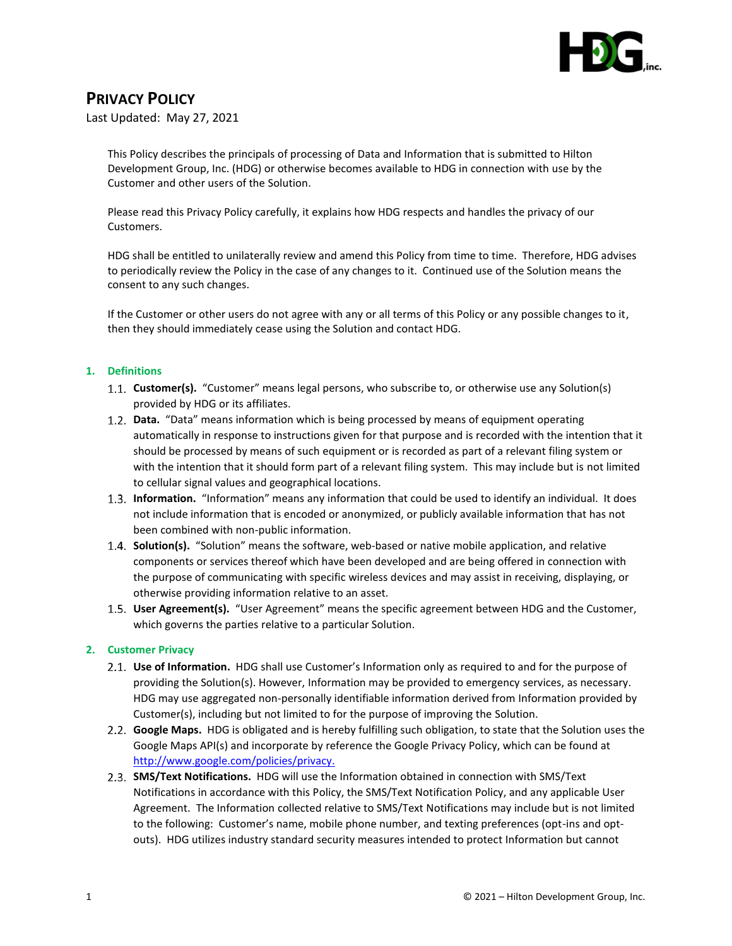

## **PRIVACY POLICY**

Last Updated: May 27, 2021

This Policy describes the principals of processing of Data and Information that is submitted to Hilton Development Group, Inc. (HDG) or otherwise becomes available to HDG in connection with use by the Customer and other users of the Solution.

Please read this Privacy Policy carefully, it explains how HDG respects and handles the privacy of our Customers.

HDG shall be entitled to unilaterally review and amend this Policy from time to time. Therefore, HDG advises to periodically review the Policy in the case of any changes to it. Continued use of the Solution means the consent to any such changes.

If the Customer or other users do not agree with any or all terms of this Policy or any possible changes to it, then they should immediately cease using the Solution and contact HDG.

## **1. Definitions**

- **Customer(s).** "Customer" means legal persons, who subscribe to, or otherwise use any Solution(s) provided by HDG or its affiliates.
- **Data.** "Data" means information which is being processed by means of equipment operating automatically in response to instructions given for that purpose and is recorded with the intention that it should be processed by means of such equipment or is recorded as part of a relevant filing system or with the intention that it should form part of a relevant filing system. This may include but is not limited to cellular signal values and geographical locations.
- **Information.** "Information" means any information that could be used to identify an individual. It does not include information that is encoded or anonymized, or publicly available information that has not been combined with non-public information.
- **Solution(s).** "Solution" means the software, web-based or native mobile application, and relative components or services thereof which have been developed and are being offered in connection with the purpose of communicating with specific wireless devices and may assist in receiving, displaying, or otherwise providing information relative to an asset.
- **User Agreement(s).** "User Agreement" means the specific agreement between HDG and the Customer, which governs the parties relative to a particular Solution.

## **2. Customer Privacy**

- **Use of Information.** HDG shall use Customer's Information only as required to and for the purpose of providing the Solution(s). However, Information may be provided to emergency services, as necessary. HDG may use aggregated non-personally identifiable information derived from Information provided by Customer(s), including but not limited to for the purpose of improving the Solution.
- **Google Maps.** HDG is obligated and is hereby fulfilling such obligation, to state that the Solution uses the Google Maps API(s) and incorporate by reference the Google Privacy Policy, which can be found at [http://www.google.com/policies/privacy.](http://www.google.com/policies/privacy)
- **SMS/Text Notifications.** HDG will use the Information obtained in connection with SMS/Text Notifications in accordance with this Policy, the SMS/Text Notification Policy, and any applicable User Agreement. The Information collected relative to SMS/Text Notifications may include but is not limited to the following: Customer's name, mobile phone number, and texting preferences (opt-ins and optouts). HDG utilizes industry standard security measures intended to protect Information but cannot